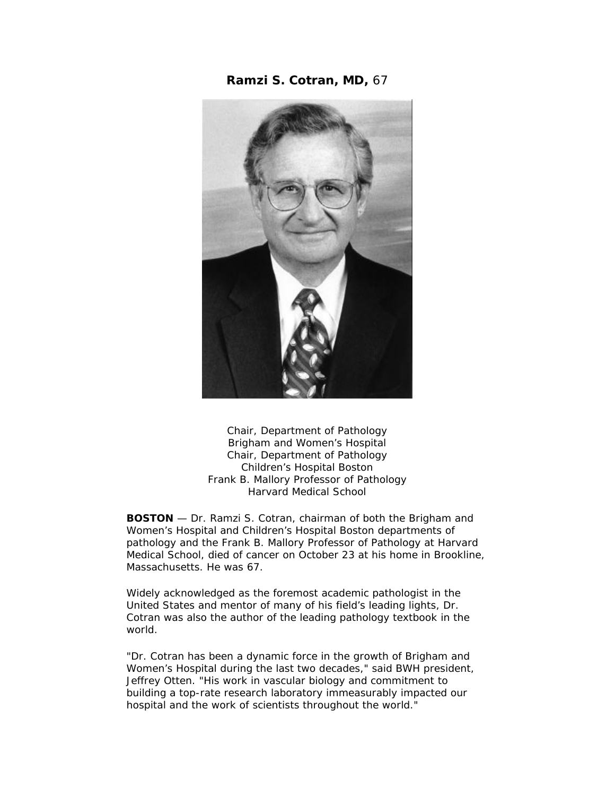**Ramzi S. Cotran, MD,** 67



Chair, Department of Pathology Brigham and Women's Hospital Chair, Department of Pathology Children's Hospital Boston Frank B. Mallory Professor of Pathology Harvard Medical School

**BOSTON** — Dr. Ramzi S. Cotran, chairman of both the Brigham and Women's Hospital and Children's Hospital Boston departments of pathology and the Frank B. Mallory Professor of Pathology at Harvard Medical School, died of cancer on October 23 at his home in Brookline, Massachusetts. He was 67.

Widely acknowledged as the foremost academic pathologist in the United States and mentor of many of his field's leading lights, Dr. Cotran was also the author of the leading pathology textbook in the world.

"Dr. Cotran has been a dynamic force in the growth of Brigham and Women's Hospital during the last two decades," said BWH president, Jeffrey Otten. "His work in vascular biology and commitment to building a top-rate research laboratory immeasurably impacted our hospital and the work of scientists throughout the world."